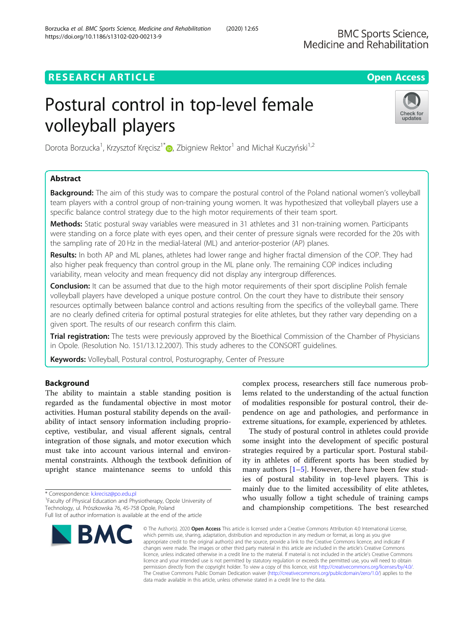# **RESEARCH ARTICLE Example 2014 12:30 The Contract of Contract ACCESS**

# Postural control in top-level female volleyball players



Dorota Borzucka<sup>1</sup>, Krzysztof Kręcisz<sup>1[\\*](http://orcid.org/0000-0003-2802-981X)</sup> (**)**, Zbigniew Rektor<sup>1</sup> and Michał Kuczyński<sup>1,2</sup>

# Abstract

**Background:** The aim of this study was to compare the postural control of the Poland national women's volleyball team players with a control group of non-training young women. It was hypothesized that volleyball players use a specific balance control strategy due to the high motor requirements of their team sport.

Methods: Static postural sway variables were measured in 31 athletes and 31 non-training women. Participants were standing on a force plate with eyes open, and their center of pressure signals were recorded for the 20s with the sampling rate of 20 Hz in the medial-lateral (ML) and anterior-posterior (AP) planes.

Results: In both AP and ML planes, athletes had lower range and higher fractal dimension of the COP. They had also higher peak frequency than control group in the ML plane only. The remaining COP indices including variability, mean velocity and mean frequency did not display any intergroup differences.

Conclusion: It can be assumed that due to the high motor requirements of their sport discipline Polish female volleyball players have developed a unique posture control. On the court they have to distribute their sensory resources optimally between balance control and actions resulting from the specifics of the volleyball game. There are no clearly defined criteria for optimal postural strategies for elite athletes, but they rather vary depending on a given sport. The results of our research confirm this claim.

Trial registration: The tests were previously approved by the Bioethical Commission of the Chamber of Physicians in Opole. (Resolution No. 151/13.12.2007). This study adheres to the CONSORT guidelines.

Keywords: Volleyball, Postural control, Posturography, Center of Pressure

# Background

The ability to maintain a stable standing position is regarded as the fundamental objective in most motor activities. Human postural stability depends on the availability of intact sensory information including proprioceptive, vestibular, and visual afferent signals, central integration of those signals, and motor execution which must take into account various internal and environmental constraints. Although the textbook definition of upright stance maintenance seems to unfold this

\* Correspondence: [k.krecisz@po.edu.pl](mailto:k.krecisz@po.edu.pl) <sup>1</sup>

<sup>1</sup> Faculty of Physical Education and Physiotherapy, Opole University of Technology, ul. Prószkowska 76, 45-758 Opole, Poland

Full list of author information is available at the end of the article



complex process, researchers still face numerous problems related to the understanding of the actual function of modalities responsible for postural control, their dependence on age and pathologies, and performance in extreme situations, for example, experienced by athletes.

The study of postural control in athletes could provide some insight into the development of specific postural strategies required by a particular sport. Postural stability in athletes of different sports has been studied by many authors  $[1–5]$  $[1–5]$  $[1–5]$ . However, there have been few studies of postural stability in top-level players. This is mainly due to the limited accessibility of elite athletes, who usually follow a tight schedule of training camps and championship competitions. The best researched

© The Author(s), 2020 **Open Access** This article is licensed under a Creative Commons Attribution 4.0 International License, which permits use, sharing, adaptation, distribution and reproduction in any medium or format, as long as you give appropriate credit to the original author(s) and the source, provide a link to the Creative Commons licence, and indicate if changes were made. The images or other third party material in this article are included in the article's Creative Commons licence, unless indicated otherwise in a credit line to the material. If material is not included in the article's Creative Commons licence and your intended use is not permitted by statutory regulation or exceeds the permitted use, you will need to obtain permission directly from the copyright holder. To view a copy of this licence, visit [http://creativecommons.org/licenses/by/4.0/.](http://creativecommons.org/licenses/by/4.0/) The Creative Commons Public Domain Dedication waiver [\(http://creativecommons.org/publicdomain/zero/1.0/](http://creativecommons.org/publicdomain/zero/1.0/)) applies to the data made available in this article, unless otherwise stated in a credit line to the data.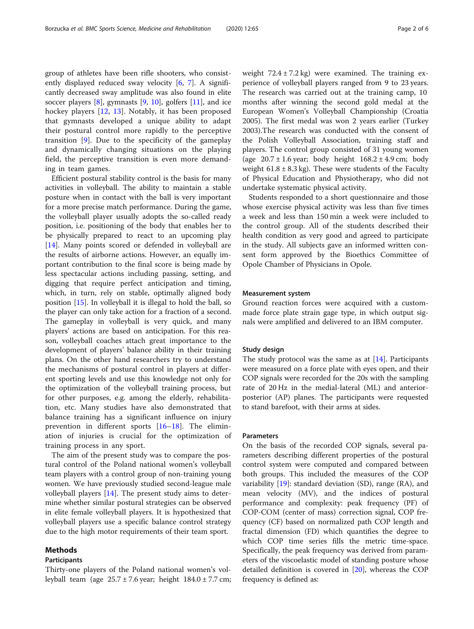group of athletes have been rifle shooters, who consistently displayed reduced sway velocity  $[6, 7]$  $[6, 7]$  $[6, 7]$ . A significantly decreased sway amplitude was also found in elite soccer players  $[8]$ , gymnasts  $[9, 10]$  $[9, 10]$  $[9, 10]$ , golfers  $[11]$ , and ice hockey players [[12](#page-5-0), [13](#page-5-0)]. Notably, it has been proposed that gymnasts developed a unique ability to adapt their postural control more rapidly to the perceptive transition [[9](#page-5-0)]. Due to the specificity of the gameplay and dynamically changing situations on the playing field, the perceptive transition is even more demanding in team games.

Efficient postural stability control is the basis for many activities in volleyball. The ability to maintain a stable posture when in contact with the ball is very important for a more precise match performance. During the game, the volleyball player usually adopts the so-called ready position, i.e. positioning of the body that enables her to be physically prepared to react to an upcoming play [[14\]](#page-5-0). Many points scored or defended in volleyball are the results of airborne actions. However, an equally important contribution to the final score is being made by less spectacular actions including passing, setting, and digging that require perfect anticipation and timing, which, in turn, rely on stable, optimally aligned body position [[15\]](#page-5-0). In volleyball it is illegal to hold the ball, so the player can only take action for a fraction of a second. The gameplay in volleyball is very quick, and many players' actions are based on anticipation. For this reason, volleyball coaches attach great importance to the development of players' balance ability in their training plans. On the other hand researchers try to understand the mechanisms of postural control in players at different sporting levels and use this knowledge not only for the optimization of the volleyball training process, but for other purposes, e.g. among the elderly, rehabilitation, etc. Many studies have also demonstrated that balance training has a significant influence on injury prevention in different sports [[16](#page-5-0)–[18\]](#page-5-0). The elimination of injuries is crucial for the optimization of training process in any sport.

The aim of the present study was to compare the postural control of the Poland national women's volleyball team players with a control group of non-training young women. We have previously studied second-league male volleyball players [[14\]](#page-5-0). The present study aims to determine whether similar postural strategies can be observed in elite female volleyball players. It is hypothesized that volleyball players use a specific balance control strategy due to the high motor requirements of their team sport.

#### Methods

#### Participants

Thirty-one players of the Poland national women's volleyball team (age  $25.7 \pm 7.6$  year; height  $184.0 \pm 7.7$  cm; weight  $72.4 \pm 7.2$  kg) were examined. The training experience of volleyball players ranged from 9 to 23 years. The research was carried out at the training camp, 10 months after winning the second gold medal at the European Women's Volleyball Championship (Croatia 2005). The first medal was won 2 years earlier (Turkey 2003).The research was conducted with the consent of the Polish Volleyball Association, training staff and players. The control group consisted of 31 young women (age  $20.7 \pm 1.6$  year; body height  $168.2 \pm 4.9$  cm; body weight  $61.8 \pm 8.3$  kg). These were students of the Faculty of Physical Education and Physiotherapy, who did not undertake systematic physical activity.

Students responded to a short questionnaire and those whose exercise physical activity was less than five times a week and less than 150 min a week were included to the control group. All of the students described their health condition as very good and agreed to participate in the study. All subjects gave an informed written consent form approved by the Bioethics Committee of Opole Chamber of Physicians in Opole.

#### Measurement system

Ground reaction forces were acquired with a custommade force plate strain gage type, in which output signals were amplified and delivered to an IBM computer.

#### Study design

The study protocol was the same as at [[14\]](#page-5-0). Participants were measured on a force plate with eyes open, and their COP signals were recorded for the 20s with the sampling rate of 20 Hz in the medial-lateral (ML) and anteriorposterior (AP) planes. The participants were requested to stand barefoot, with their arms at sides.

#### Parameters

On the basis of the recorded COP signals, several parameters describing different properties of the postural control system were computed and compared between both groups. This included the measures of the COP variability  $[19]$ : standard deviation (SD), range (RA), and mean velocity (MV), and the indices of postural performance and complexity: peak frequency (PF) of COP-COM (center of mass) correction signal, COP frequency (CF) based on normalized path COP length and fractal dimension (FD) which quantifies the degree to which COP time series fills the metric time-space. Specifically, the peak frequency was derived from parameters of the viscoelastic model of standing posture whose detailed definition is covered in [[20](#page-5-0)], whereas the COP frequency is defined as: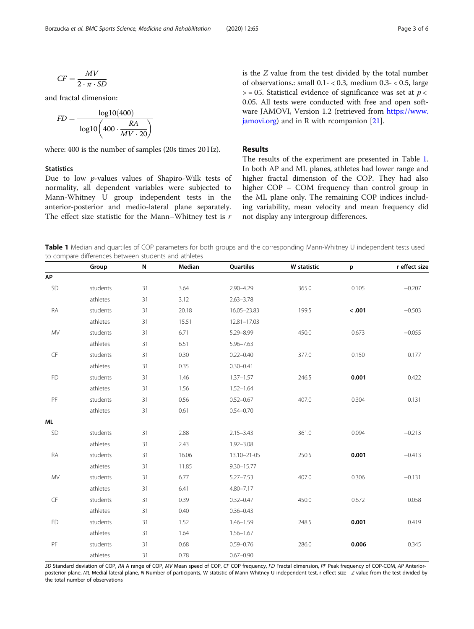$$
CF = \frac{MV}{2 \cdot \pi \cdot SD}
$$

and fractal dimension:

$$
FD = \frac{\log 10(400)}{\log 10 \left(400 \cdot \frac{RA}{MV \cdot 20}\right)}
$$

where: 400 is the number of samples (20s times 20 Hz).

# **Statistics**

Due to low p-values values of Shapiro-Wilk tests of normality, all dependent variables were subjected to Mann-Whitney U group independent tests in the anterior-posterior and medio-lateral plane separately. The effect size statistic for the Mann–Whitney test is  $r$  is the Z value from the test divided by the total number of observations.: small  $0.1 - 0.3$ , medium  $0.3 - 0.5$ , large  $>$  = 05. Statistical evidence of significance was set at  $p <$ 0.05. All tests were conducted with free and open software JAMOVI, Version 1.2 (retrieved from [https://www.](https://www.jamovi.org) [jamovi.org\)](https://www.jamovi.org) and in R with rcompanion [[21\]](#page-5-0).

## Results

The results of the experiment are presented in Table 1. In both AP and ML planes, athletes had lower range and higher fractal dimension of the COP. They had also higher COP – COM frequency than control group in the ML plane only. The remaining COP indices including variability, mean velocity and mean frequency did not display any intergroup differences.

Table 1 Median and quartiles of COP parameters for both groups and the corresponding Mann-Whitney U independent tests used to compare differences between students and athletes

|           | Group    | N  | Median | Quartiles      | W statistic | p      | r effect size |
|-----------|----------|----|--------|----------------|-------------|--------|---------------|
| AP        |          |    |        |                |             |        |               |
| SD        | students | 31 | 3.64   | $2.90 - 4.29$  | 365.0       | 0.105  | $-0.207$      |
|           | athletes | 31 | 3.12   | $2.63 - 3.78$  |             |        |               |
| RA        | students | 31 | 20.18  | 16.05-23.83    | 199.5       | < .001 | $-0.503$      |
|           | athletes | 31 | 15.51  | 12.81-17.03    |             |        |               |
| MV        | students | 31 | 6.71   | 5.29-8.99      | 450.0       | 0.673  | $-0.055$      |
|           | athletes | 31 | 6.51   | $5.96 - 7.63$  |             |        |               |
| CF        | students | 31 | 0.30   | $0.22 - 0.40$  | 377.0       | 0.150  | 0.177         |
|           | athletes | 31 | 0.35   | $0.30 - 0.41$  |             |        |               |
| <b>FD</b> | students | 31 | 1.46   | $1.37 - 1.57$  | 246.5       | 0.001  | 0.422         |
|           | athletes | 31 | 1.56   | $1.52 - 1.64$  |             |        |               |
| PF        | students | 31 | 0.56   | $0.52 - 0.67$  | 407.0       | 0.304  | 0.131         |
|           | athletes | 31 | 0.61   | $0.54 - 0.70$  |             |        |               |
| ML        |          |    |        |                |             |        |               |
| SD        | students | 31 | 2.88   | $2.15 - 3.43$  | 361.0       | 0.094  | $-0.213$      |
|           | athletes | 31 | 2.43   | $1.92 - 3.08$  |             |        |               |
| RA        | students | 31 | 16.06  | 13.10-21-05    | 250.5       | 0.001  | $-0.413$      |
|           | athletes | 31 | 11.85  | $9.30 - 15.77$ |             |        |               |
| MV        | students | 31 | 6.77   | $5.27 - 7.53$  | 407.0       | 0.306  | $-0.131$      |
|           | athletes | 31 | 6.41   | $4.80 - 7.17$  |             |        |               |
| CF        | students | 31 | 0.39   | $0.32 - 0.47$  | 450.0       | 0.672  | 0.058         |
|           | athletes | 31 | 0.40   | $0.36 - 0.43$  |             |        |               |
| <b>FD</b> | students | 31 | 1.52   | $1.46 - 1.59$  | 248.5       | 0.001  | 0.419         |
|           | athletes | 31 | 1.64   | $1.56 - 1.67$  |             |        |               |
| PF        | students | 31 | 0.68   | $0.59 - 0.76$  | 286.0       | 0.006  | 0.345         |
|           | athletes | 31 | 0.78   | $0.67 - 0.90$  |             |        |               |

SD Standard deviation of COP, RA A range of COP, MV Mean speed of COP, CF COP frequency, FD Fractal dimension, PF Peak frequency of COP-COM, AP Anteriorposterior plane, ML Medial-lateral plane, N Number of participants, W statistic of Mann-Whitney U independent test, r effect size - Z value from the test divided by the total number of observations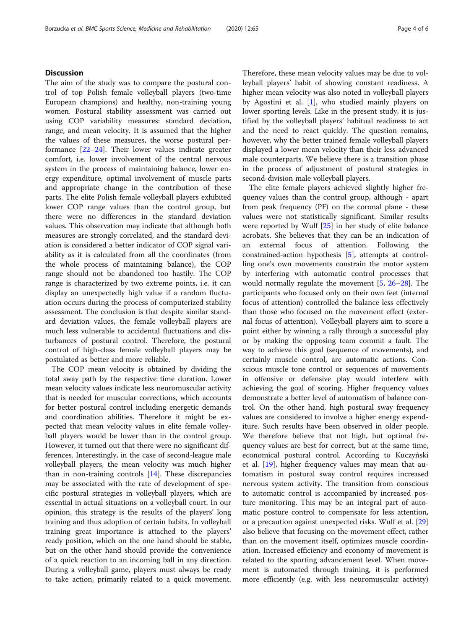### **Discussion**

The aim of the study was to compare the postural control of top Polish female volleyball players (two-time European champions) and healthy, non-training young women. Postural stability assessment was carried out using COP variability measures: standard deviation, range, and mean velocity. It is assumed that the higher the values of these measures, the worse postural performance [\[22](#page-5-0)–[24\]](#page-5-0). Their lower values indicate greater comfort, i.e. lower involvement of the central nervous system in the process of maintaining balance, lower energy expenditure, optimal involvement of muscle parts and appropriate change in the contribution of these parts. The elite Polish female volleyball players exhibited lower COP range values than the control group, but there were no differences in the standard deviation values. This observation may indicate that although both measures are strongly correlated, and the standard deviation is considered a better indicator of COP signal variability as it is calculated from all the coordinates (from the whole process of maintaining balance), the COP range should not be abandoned too hastily. The COP range is characterized by two extreme points, i.e. it can display an unexpectedly high value if a random fluctuation occurs during the process of computerized stability assessment. The conclusion is that despite similar standard deviation values, the female volleyball players are much less vulnerable to accidental fluctuations and disturbances of postural control. Therefore, the postural control of high-class female volleyball players may be postulated as better and more reliable.

The COP mean velocity is obtained by dividing the total sway path by the respective time duration. Lower mean velocity values indicate less neuromuscular activity that is needed for muscular corrections, which accounts for better postural control including energetic demands and coordination abilities. Therefore it might be expected that mean velocity values in elite female volleyball players would be lower than in the control group. However, it turned out that there were no significant differences. Interestingly, in the case of second-league male volleyball players, the mean velocity was much higher than in non-training controls  $[14]$ . These discrepancies may be associated with the rate of development of specific postural strategies in volleyball players, which are essential in actual situations on a volleyball court. In our opinion, this strategy is the results of the players' long training and thus adoption of certain habits. In volleyball training great importance is attached to the players' ready position, which on the one hand should be stable, but on the other hand should provide the convenience of a quick reaction to an incoming ball in any direction. During a volleyball game, players must always be ready to take action, primarily related to a quick movement.

Therefore, these mean velocity values may be due to volleyball players' habit of showing constant readiness. A higher mean velocity was also noted in volleyball players by Agostini et al. [\[1\]](#page-5-0), who studied mainly players on lower sporting levels. Like in the present study, it is justified by the volleyball players' habitual readiness to act and the need to react quickly. The question remains, however, why the better trained female volleyball players displayed a lower mean velocity than their less advanced male counterparts. We believe there is a transition phase in the process of adjustment of postural strategies in second-division male volleyball players.

The elite female players achieved slightly higher frequency values than the control group, although - apart from peak frequency (PF) on the coronal plane - these values were not statistically significant. Similar results were reported by Wulf [[25\]](#page-5-0) in her study of elite balance acrobats. She believes that they can be an indication of an external focus of attention. Following the constrained-action hypothesis [\[5](#page-5-0)], attempts at controlling one's own movements constrain the motor system by interfering with automatic control processes that would normally regulate the movement [[5,](#page-5-0) [26](#page-5-0)–[28](#page-5-0)]. The participants who focused only on their own feet (internal focus of attention) controlled the balance less effectively than those who focused on the movement effect (external focus of attention). Volleyball players aim to score a point either by winning a rally through a successful play or by making the opposing team commit a fault. The way to achieve this goal (sequence of movements), and certainly muscle control, are automatic actions. Conscious muscle tone control or sequences of movements in offensive or defensive play would interfere with achieving the goal of scoring. Higher frequency values demonstrate a better level of automatism of balance control. On the other hand, high postural sway frequency values are considered to involve a higher energy expenditure. Such results have been observed in older people. We therefore believe that not high, but optimal frequency values are best for correct, but at the same time, economical postural control. According to Kuczyński et al. [\[19](#page-5-0)], higher frequency values may mean that automatism in postural sway control requires increased nervous system activity. The transition from conscious to automatic control is accompanied by increased posture monitoring. This may be an integral part of automatic posture control to compensate for less attention, or a precaution against unexpected risks. Wulf et al. [[29](#page-5-0)] also believe that focusing on the movement effect, rather than on the movement itself, optimizes muscle coordination. Increased efficiency and economy of movement is related to the sporting advancement level. When movement is automated through training, it is performed more efficiently (e.g. with less neuromuscular activity)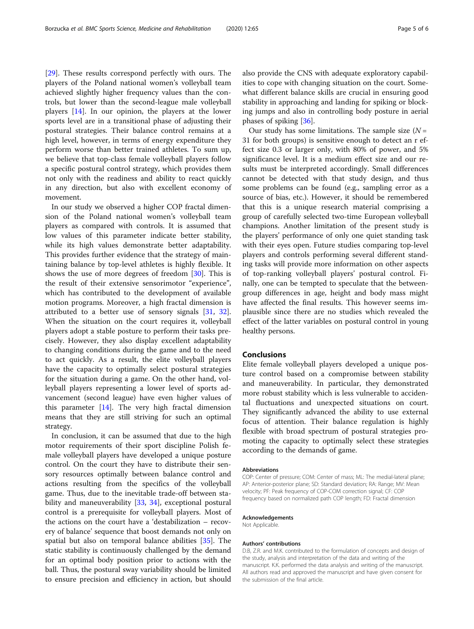[[29\]](#page-5-0). These results correspond perfectly with ours. The players of the Poland national women's volleyball team achieved slightly higher frequency values than the controls, but lower than the second-league male volleyball players [\[14](#page-5-0)]. In our opinion, the players at the lower sports level are in a transitional phase of adjusting their postural strategies. Their balance control remains at a high level, however, in terms of energy expenditure they perform worse than better trained athletes. To sum up, we believe that top-class female volleyball players follow a specific postural control strategy, which provides them not only with the readiness and ability to react quickly in any direction, but also with excellent economy of movement.

In our study we observed a higher COP fractal dimension of the Poland national women's volleyball team players as compared with controls. It is assumed that low values of this parameter indicate better stability, while its high values demonstrate better adaptability. This provides further evidence that the strategy of maintaining balance by top-level athletes is highly flexible. It shows the use of more degrees of freedom [\[30](#page-5-0)]. This is the result of their extensive sensorimotor "experience", which has contributed to the development of available motion programs. Moreover, a high fractal dimension is attributed to a better use of sensory signals [\[31,](#page-5-0) [32](#page-5-0)]. When the situation on the court requires it, volleyball players adopt a stable posture to perform their tasks precisely. However, they also display excellent adaptability to changing conditions during the game and to the need to act quickly. As a result, the elite volleyball players have the capacity to optimally select postural strategies for the situation during a game. On the other hand, volleyball players representing a lower level of sports advancement (second league) have even higher values of this parameter [[14](#page-5-0)]. The very high fractal dimension means that they are still striving for such an optimal strategy.

In conclusion, it can be assumed that due to the high motor requirements of their sport discipline Polish female volleyball players have developed a unique posture control. On the court they have to distribute their sensory resources optimally between balance control and actions resulting from the specifics of the volleyball game. Thus, due to the inevitable trade-off between sta-bility and maneuverability [\[33,](#page-5-0) [34\]](#page-5-0), exceptional postural control is a prerequisite for volleyball players. Most of the actions on the court have a 'destabilization – recovery of balance' sequence that boost demands not only on spatial but also on temporal balance abilities [[35\]](#page-5-0). The static stability is continuously challenged by the demand for an optimal body position prior to actions with the ball. Thus, the postural sway variability should be limited to ensure precision and efficiency in action, but should

also provide the CNS with adequate exploratory capabilities to cope with changing situation on the court. Somewhat different balance skills are crucial in ensuring good stability in approaching and landing for spiking or blocking jumps and also in controlling body posture in aerial phases of spiking [[36\]](#page-5-0).

Our study has some limitations. The sample size  $(N =$ 31 for both groups) is sensitive enough to detect an r effect size 0.3 or larger only, with 80% of power, and 5% significance level. It is a medium effect size and our results must be interpreted accordingly. Small differences cannot be detected with that study design, and thus some problems can be found (e.g., sampling error as a source of bias, etc.). However, it should be remembered that this is a unique research material comprising a group of carefully selected two-time European volleyball champions. Another limitation of the present study is the players' performance of only one quiet standing task with their eyes open. Future studies comparing top-level players and controls performing several different standing tasks will provide more information on other aspects of top-ranking volleyball players' postural control. Finally, one can be tempted to speculate that the betweengroup differences in age, height and body mass might have affected the final results. This however seems implausible since there are no studies which revealed the effect of the latter variables on postural control in young healthy persons.

### Conclusions

Elite female volleyball players developed a unique posture control based on a compromise between stability and maneuverability. In particular, they demonstrated more robust stability which is less vulnerable to accidental fluctuations and unexpected situations on court. They significantly advanced the ability to use external focus of attention. Their balance regulation is highly flexible with broad spectrum of postural strategies promoting the capacity to optimally select these strategies according to the demands of game.

#### Abbreviations

COP: Center of pressure; COM: Center of mass; ML: The medial-lateral plane; AP: Anterior-posterior plane; SD: Standard deviation; RA: Range; MV: Mean velocity; PF: Peak frequency of COP-COM correction signal; CF: COP frequency based on normalized path COP length; FD: Fractal dimension

#### Acknowledgements

Not Applicable.

#### Authors' contributions

D.B, Z.R. and M.K. contributed to the formulation of concepts and design of the study, analysis and interpretation of the data and writing of the manuscript. K.K. performed the data analysis and writing of the manuscript. All authors read and approved the manuscript and have given consent for the submission of the final article.